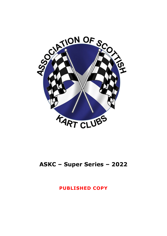

# **ASKC – Super Series – 2022**

**PUBLISHED COPY**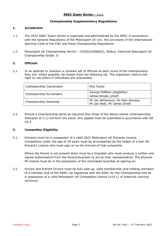## **ASKC Super Series –**

#### **Championship Supplementary Regulations**

#### **1. Jurisdiction**

- 1.1. The 2022 ASKC Super Series is organised and administered by the ASKC in accordance with the General Regulations of the Motorsport UK (inc. the provisions of the International Sporting Code of the FIA) and these Championship Regulations
- 1.2. Motorsport UK Championship Permit CH2022/K068(D); Status: Interclub Motorsport UK Championship Grade: D

#### **2. Officials**

2.1. In an attempt to maintain a constant set of officials at each round of the championship they will, where possible, be chosen from the following list. The organisers reserve the right to use others if individuals are unavailable.

| Championship Coordinator | Rod Taylor                                                        |  |
|--------------------------|-------------------------------------------------------------------|--|
| Championship Scrutineers | George McBlain (eligibility)<br>Adrian Brodie (chief)             |  |
| Championship Stewards    | Mr Ian Williamson, Mr Alan Wyness,<br>Mr Ian Watt, Mr James Smith |  |

2.2. Should a Championship panel be required then three of the above names (Championship Stewards at 2.1) will form the panel. Any appeal must be submitted in accordance with GR C6.5

#### **3. Competitor Eligibility**

3.1. Entrants must be in possession of a valid 2022 Motorsport UK Entrants Licence. Competitors under the age of 18 years must be accompanied by the holder of a Kart PG Entrant's Licence who must sign on as the Entrant of that competitor.

Where the Parent is not present there must be a Guardian who must produce a written and signed authorisation from the Parent/Guardian to act as their representative. The physical PG licence must be in the possession of the nominated Guardian at signing-on.

3.2. Drivers and Entrant Drivers must be fully paid up, valid membership card holding members of a member club of the ASKC, be registered with the ASKC for the Championship and be in possession of a valid Motorsport UK Competition licence (U14.1) of Interclub (novice) minimum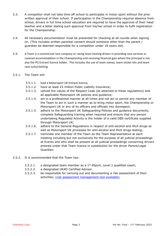- 3.3. A competitor shall not take time off school to participate in motor sport without the prior written approval of their school. If participation in the Championship requires absence from school, drivers in full time school education are required to have the approval of their head teacher and a letter stating such approval from his/her school in order to fulfil registration for the Championship.
- 3.4. All necessary documentation must be presented for checking at all rounds when signing on. (This includes written parental consent should someone other than the parent / guardian be deemed responsible for a competitor under 18 years old).
- 3.5. A Team is a commercial race company or racing team hosting drivers in providing race services or covered accommodation in the Championship and receiving financial gain where the principal is not also the PG Entrant licence holder. This includes the use of team names, team sticker kits and team race suits/clothing
- 3.5.1. The Team will:
	- 3.5.1.1. hold a Motorsport UK Entrant licence;
	- 3.5.1.2. have at least £5 million Public Liability Insurance;
	- 3.5.1.3. uphold the values of the Respect Code (as attached to these regulations) and all applicable Motorsport UK policies and guidance;
	- 3.5.1.4. act in a professional manner at all times and not act or permit any member of the Team to act in such a manner as to bring motor sport, the Championship or Motorsport UK or any of its officers and officials into disrespect;
	- 3.5.1.5. adhere to the Motorsport UK Safeguarding Policies and guidance documents, complete Safeguarding training when required and ensure that any person undertaking Regulated Activity is the holder of a valid DBS certificate supplied through Motorsport UK;
	- 3.5.1.6. adhere to the General Regulations in respect of anti-alcohol and illicit drugs as well as Motorsport UK processes for anti-alcohol and illicit drugs testing;
	- 3.5.1.7. nominate one member of the Team as the Team Representative at each meeting including but not exclusively for the purpose of all judicial proceedings at Events and who shall be present at all judicial proceedings concerning drivers entered under that Team licence in substitution for the driver Parent/Legal Guardian.
- 3.5.2. It is recommended that the Team has:
	- 3.5.2.1. a designated team member as a  $1<sup>st</sup>$  4Sport, Level 2 qualified coach;
	- 3.5.2.2. a designated UKAD Certified Advisor.
	- 3.5.2.3. be responsible for carrying out and documenting a risk assessment of their activities; (risk assessment management tool available)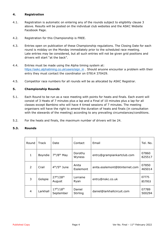## **4. Registration**

- 4.1. Registration is automatic on entering any of the rounds subject to eligibility clause 3 above. Results will be posted on the individual club websites and the ASKC Website Facebook Page.
- 4.2. Registration for this Championship is FREE.
- 4.3. Entries open on publication of these Championship regulations. The Closing Date for each round is midday on the Monday immediately prior to the scheduled race meeting. Late entries may be considered, but all such entries will not be given grid positions and drivers will start "at the back".
- 4.4. Entries must be made using the Alpha timing system at: https://askc.alphatiming.co.uk/users/sign\_in . Should anyone encounter a problem with their entry they must contact the coordinator on 07814 370429.
- 4.5. Competitor race numbers for all rounds will be as allocated by ASKC Registrar.

## **5. Championship Rounds**

- 5.1. Each Round to be run as a race meeting with points for heats and finals. Each event will consist of 3 Heats of 7 minutes plus a lap and a Final of 10 minutes plus a lap for all classes except Bambino who will have 4 timed sessions of 7 minutes. The meeting organisers will have the right to amend the duration of heats and finals (in consultation with the stewards of the meeting) according to any prevailing circumstances/conditions.
- 5.2. For the heats and finals, the maximum number of drivers will be 24.

## **5.3. Rounds**

| Round        | Track    | Date                                  | Contact            | Email                          | Tel. No.        |
|--------------|----------|---------------------------------------|--------------------|--------------------------------|-----------------|
| $\mathbf{1}$ | Boyndie  | 7 <sup>th</sup> /8 <sup>th</sup> May  | Dorothy<br>Wyness  | entry@grampiankartclub.com     | 07860<br>825517 |
| 2            | Crail    | 4 <sup>th</sup> /5 <sup>th</sup> June | Anita<br>Esslemont | anita.esslemont@btinternet.com | 07850<br>465014 |
| 3            | Golspie  | 27th/28th<br>August                   | Lorraine<br>Ryan   | entry@nskc.co.uk               |                 |
| 4            | Larkhall | $17^{th}/18^{th}$<br>September        | Daniel<br>Stirling | daniel@larkhallcircuit.com     | 07789<br>500294 |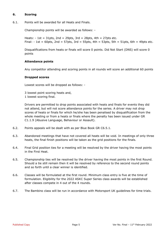## **6. Scoring**

6.1. Points will be awarded for all Heats and Finals.

Championship points will be awarded as follows: -

Heats:  $-1$ st = 31pts, 2nd = 29pts, 3rd = 28pts, 4th = 27pts etc. Final:  $-1$ st = 60pts, 2nd = 57pts, 3rd = 55pts, 4th = 53pts, 5th = 51pts, 6th = 49pts etc.

Disqualifications from heats or finals will score 0 points. Did Not Start (DNS) will score 0 points

## **Attendance points**

Any competitor attending and scoring points in all rounds will score an additional 60 points

## **Dropped scores**

Lowest scores will be dropped as follows: -

- 3 lowest point scoring heats and,
- 1 lowest scoring final.

Drivers are permitted to drop points associated with heats and finals for events they did not attend, but will not score attendance points for the series. A driver may not drop scores of heats or finals for which he/she has been penalised by disqualification from the whole meeting or from a heats or finals where the penalty has been issued under GR C1.1.9 (Abusive Language, Behaviour or Assault).

- 6.2. Points appeals will be dealt with as per Blue Book GR C6.5.1.
- 6.3. Abandoned meetings that have not covered all heats will be void. In meetings of only three heats, the final finish positions will be taken as the grid positions for the finals.
- 6.4. Final Grid position ties for a meeting will be resolved by the driver having the most points in the First Heat.
- 6.5. Championship ties will be resolved by the driver having the most points in the first Round. Should a tie still remain then it will be resolved by reference to the second round points and so forth until a clear winner is identified.
- 6.6. Classes will be formulated at the first round. Minimum class entry is five at the time of formulation. Eligibility for the 2022 ASKC Super Series class awards will be established after classes compete in 4 out of the 4 rounds.
- 6.7. The Bambino class will be run in accordance with Motorsport UK guidelines for time trials.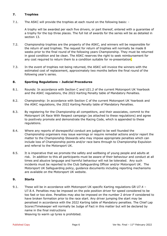## **7. Trophies**

7.1. The ASKC will provide the trophies at each round on the following basis: -

A trophy will be awarded per each five drivers, or part thereof, entered with a guarantee of a trophy for the top three places. The full list of awards for the series will be as detailed in section 13.

- 7.2. Championship trophies are the property of the ASKC, and winners will be responsible for the return of said trophies. The request for return of trophies will normally be made 8 weeks prior to the final round of the following years Championship. They must be returned in good condition and be clean. The ASKC reserves the right to seek reimbursement for any cost required to return them to a condition suitable for re-presentation.
- 7.3. In the event of trophies not being returned, the ASKC will invoice the winners with the estimated cost of replacement, approximately two months before the final round of the following year's series.

## **8. Sporting Regulations – Judicial Procedures**

- 8.1. Rounds: In accordance with Section C and U21.2 of the current Motorsport UK Yearbook and the ASKC regulations, the 2022 Karting Penalty table of Mandatory Penalties.
- 8.2. Championship: In accordance with Section C of the current Motorsport UK Yearbook and the ASKC regulations, the 2022 Karting Penalty table of Mandatory Penalties.
- 8.3. By registering for the Championship all competitors, and their associates, commit to the Motorsport UK Race With Respect campaign (as attached to these regulations) and agree to positively promote and demonstrate the Racing Code, which is appended to these regulations.
- 8.4. Where any reports of disrespectful conduct are judged to be well founded the Championship organisers may issue warnings or require remedial actions and/or report the matter to the Championship Stewards who may impose appropriate penalties which can include loss of Championship points and/or race bans through to Championship Expulsion and referral to the Motorsport UK.
- 8.5. It is imperative that we promote the safety and wellbeing of young people and adults at risk. In addition to this all participants must be aware of their behaviour and conduct at all times and abusive language and harmful behaviour will not be tolerated. Any such incidents must be reported to the Club Safeguarding Officer and/or Motorsport UK. The Motorsport UK Safeguarding policy, guidance documents including reporting mechanisms are available on the Motorsport UK website.

## **9. Starts**

9.1. These will be in accordance with Motorsport UK specific Karting regulations GR U7.4 -U7.8.4. Penalties may be imposed on the pole position driver for speed considered to be too fast or too slow. Penalties may also be imposed on the number 2 driver if considered to have broken formation prior to the race start. Any driver jumping the start may be penalised in accordance with the 2022 Karting table of Mandatory penalties. The Chief Lap Scorer/Timekeeper will normally be Judge of Fact in this matter but will be declared by name in the final instructions

Weaving to warm up tyres is prohibited.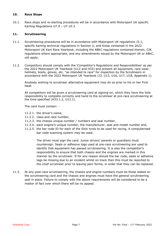#### **10. Race Stops**

10.1. Race stops and re-starting procedures will be in accordance with Motorsport UK specific Karting Regulations U7.9 – U7.10.3.

## **11. Scrutineering**

- 11.1. Scrutineering procedures will be in accordance with Motorsport UK regulations J3.1, specific karting technical regulations in Section U, and those contained in the 2022 Motorsport UK Kart Race Yearbook, including the ABkC regulations contained therein, CIK regulations where appropriate, and any amendments issued by the Motorsport UK or ABkC, will apply.
- 11.2. Competitors should comply with the 'Competitor's Regulations and Responsibilities' as per the 2022 Motorsport UK Yearbook (U12 and H33) and present all equipment, race wear, helmets, boots, gloves, etc. "as intended to race" for inspection by the Scrutineers in accordance with the 2022 Motorsport UK Yearbook (J3, U13, U16, U17, U18, Appendix 1).

Anybody wishing to scrutineer alternative equipment may do so prior to his or her First Heat.

All competitors will be given a scrutineering card at signing-on, which they have the Sole responsibility to complete correctly and hand to the scrutineer at pre-race scrutineering at the time specified (H33.1.2, U12.1).

The card must contain: -

- 11.2.1. the driver's name,
- 11.2.2. class and race number,
- 11.2.3. the chassis unique number / numbers and seal number,
- 11.2.4. each engine's unique number, the manufacturer, seal and model number and,
- 11.2.5. the bar code ID for each of the Slick tyres to be used for racing. A computerised bar code scanning system may be used.

The driver must sign the card. Junior drivers' parents or guardians must countersign. Seals or adhesive tags used at pre-race scrutineering are used to identify that equipment has passed scrutineering. It is also the competitor's responsibility to ensure that both chassis and the engines are marked in this manner by the scrutineer. If for any reason should the bar code, seals or adhesive tags be missing due to an incident whilst on track then this must be reported to the chief scrutineer prior to leaving parc ferme, in order that they can be replaced.

11.3. At any post-race scrutineering, the chassis and engine numbers must be those stated on the scrutineering card and the chassis and engines must have the general scrutineering seal in place. Failure to comply with the above requirements will be considered to be a matter of fact over which there will be no appeal.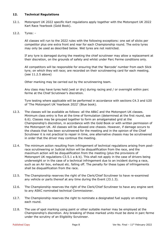## **12. Technical Regulations**

- 12.1. Motorsport UK 2022 specific Kart regulations apply together with the Motorsport UK 2022 Kart Race Yearbook (Gold Book).
- 12.2. Tyres: -

All classes will run to the 2022 rules with the following exceptions: one set of slicks per competitor plus one extra front and rear for each Championship round. The extra tyres may only be used as described below. Wet tyres are not restricted.

If any tyre is damaged during the meeting the chief scrutineer may allow a replacement at their discretion, on the grounds of safety and whilst under Parc Ferme conditions only.

All competitors will be responsible for ensuring that the 'Barcode' number from each Slick tyre; on which they will race; are recorded on their scrutineering card for each meeting. (see 11.2.5 above)

Other marking may be carried out by the scrutineering team.

Any class may have tyres held (wet or dry) during racing and / or overnight within parc ferme at the Chief Scrutineer's discretion.

Tyre testing where applicable will be performed in accordance with sections C4.3 and U20 of 'The Motorsport UK Yearbook 2022' (Blue book).

- 12.3. The classes will be available as follows: all the ABkC and the Motorsport UK classes. Minimum class entry is five at the time of formulation (determined at the first round, see 6.6). Classes may be grouped together to form an amalgamated grid at the Championship's discretion, in accordance with the Gold Book or with written permission of the Motorsport UK. All classes will be allowed one chassis. However, if damage occurs to the chassis that has been scrutineered for the meeting and in the opinion of the Chief Scrutineer it is not practical to repair in time, one alternative chassis may be scrutineered in order that the driver may continue the meeting.
- 12.4. The minimum action resulting from infringement of technical regulations arising from postrace scrutineering or Judicial Action will be disqualification from the race, and the maximum action will be disqualification from the meeting (plus the provisions of Motorsport UK regulations C3.5.1 a & b). This shall not apply in the case of drivers being underweight or in the case of a technical infringement due to an incident during a race, such as an Air box, exhaust etc. falling off. The penalty for these types of infringements shall be disqualification from the race.
- 12.5. The Championship reserves the right of the Clerk/Chief Scrutineer to have re-examined any vehicle or parts thereof at any time during the Event (J3.1.3).
- 12.6. The Championship reserves the right of the Clerk/Chief Scrutineer to have any engine sent to any ASKC nominated technical Commissioner.
- 12.7. The Championship reserves the right to nominate a designated fuel supply on entering each round.
- 12.8. The use of spot marking using paint or other suitable marker may be employed at the Championship's discretion. Any breaking of these marked units must be done in parc ferme under the scrutiny of an Eligibility Scrutineer.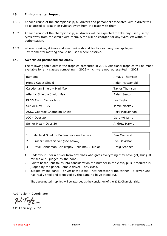## **13. Environmental Impact**

- 13.1. At each round of the championship, all drivers and personnel associated with a driver will be expected to take their rubbish away from the track with them.
- 13.2. At each round of the championship, all drivers will be expected to take any used / scrap tyres away from the circuit with them. A fee will be charged for any tyres left without authorisation.
- 13.3. Where possible, drivers and mechanics should try to avoid any fuel spillages. Environmental matting should be used where possible.

## **14. Awards as presented for 2021.**

 The following table details the trophies presented in 2021. Additional trophies will be made available for any classes competing in 2022 which were not represented in 2021.

| Bambino                             |                                             | Amaya Thomson         |  |
|-------------------------------------|---------------------------------------------|-----------------------|--|
| Honda Cadet Shield                  |                                             | Aiden MacDonald       |  |
| Caledonian Shield - Mini Max        |                                             | <b>Taylor Thomson</b> |  |
| Atlantic Shield - Junior Max        |                                             | Aidan Seaton          |  |
| BHSS Cup - Senior Max               |                                             | Les Taylor            |  |
| Senior Max - 177                    |                                             | Jamie Mackay          |  |
| <b>ASKC Gearbox Champion Shield</b> |                                             | Rory MacLennan        |  |
| ICC - Over 30                       |                                             | Gary Williams         |  |
| Senior Max - Over 30                |                                             | Andrew Harvie         |  |
|                                     |                                             |                       |  |
| 1                                   | Macleod Shield - Endeavour (see below)      | Ben MacLeod           |  |
| $\mathcal{P}$                       | Fraser Smart Salver (see below)             | Eve Davidson          |  |
| 3                                   | Dave Sandeman Snr Trophy - Minimax / Junior | Craig Stephen         |  |

- 1. Endeavour for a driver from any class who gives everything they have got, but just misses out - judged by the panel.
- 2. Points based, but takes into consideration the number in the class, plus if required is judged by the panel. Female driver – any class.
- 3. Judged by the panel driver of the class not necessarily the winner a driver who has really tried and is judged by the panel to have stood out.

The above noted trophies will be awarded at the conclusion of the 2022 Championship.

Rod Taylor – Coordinator

Rd Tuytz

11<sup>th</sup> February, 2022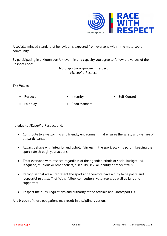

A socially minded standard of behaviour is expected from everyone within the motorsport community.

By participating in a Motorsport UK event in any capacity you agree to follow the values of the Respect Code:

> Motorsportuk.org/racewithrespect #RaceWithRespect

## **The Values**

- 
- Respect Integrity Self-Control
- - Fair play **Good Manners**

I pledge to #RaceWithRespect and:

- Contribute to a welcoming and friendly environment that ensures the safety and welfare of all participants.
- Always behave with integrity and uphold fairness in the sport; play my part in keeping the sport safe through your actions
- Treat everyone with respect, regardless of their gender, ethnic or social background, language, religious or other beliefs, disability, sexual identity or other status
- Recognise that we all represent the sport and therefore have a duty to be polite and respectful to all staff, officials, fellow competitors, volunteers, as well as fans and supporters
- Respect the rules, regulations and authority of the officials and Motorsport UK

Any breach of these obligations may result in disciplinary action.